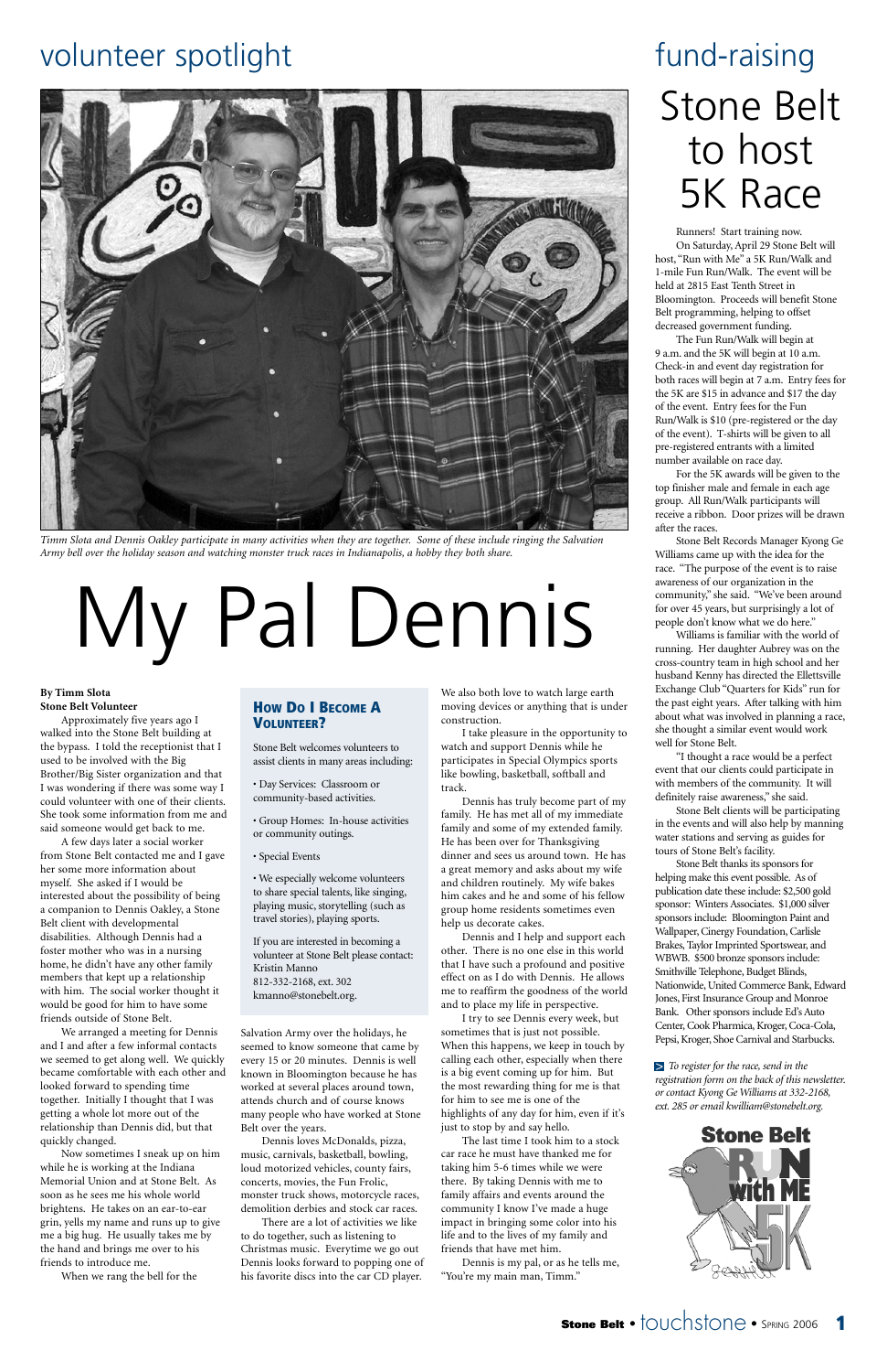#### **By Timm Slota Stone Belt Volunteer**

Approximately five years ago I walked into the Stone Belt building at the bypass. I told the receptionist that I used to be involved with the Big Brother/Big Sister organization and that I was wondering if there was some way I could volunteer with one of their clients. She took some information from me and said someone would get back to me.

A few days later a social worker from Stone Belt contacted me and I gave her some more information about myself. She asked if I would be interested about the possibility of being a companion to Dennis Oakley, a Stone Belt client with developmental disabilities. Although Dennis had a foster mother who was in a nursing home, he didn't have any other family members that kept up a relationship with him. The social worker thought it would be good for him to have some

friends outside of Stone Belt.

We arranged a meeting for Dennis and I and after a few informal contacts we seemed to get along well. We quickly became comfortable with each other and looked forward to spending time together. Initially I thought that I was getting a whole lot more out of the relationship than Dennis did, but that quickly changed.

Now sometimes I sneak up on him while he is working at the Indiana Memorial Union and at Stone Belt. As soon as he sees me his whole world brightens. He takes on an ear-to-ear grin, yells my name and runs up to give me a big hug. He usually takes me by the hand and brings me over to his friends to introduce me.

When we rang the bell for the

Salvation Army over the holidays, he seemed to know someone that came by every 15 or 20 minutes. Dennis is well known in Bloomington because he has worked at several places around town, attends church and of course knows many people who have worked at Stone Belt over the years.

Dennis loves McDonalds, pizza, music, carnivals, basketball, bowling, loud motorized vehicles, county fairs, concerts, movies, the Fun Frolic, monster truck shows, motorcycle races, demolition derbies and stock car races.

There are a lot of activities we like to do together, such as listening to Christmas music. Everytime we go out Dennis looks forward to popping one of his favorite discs into the car CD player.

We also both love to watch large earth moving devices or anything that is under construction.

I take pleasure in the opportunity to watch and support Dennis while he participates in Special Olympics sports like bowling, basketball, softball and track.

Dennis has truly become part of my family. He has met all of my immediate family and some of my extended family. He has been over for Thanksgiving dinner and sees us around town. He has a great memory and asks about my wife and children routinely. My wife bakes him cakes and he and some of his fellow group home residents sometimes even help us decorate cakes.

Dennis and I help and support each other. There is no one else in this world that I have such a profound and positive effect on as I do with Dennis. He allows me to reaffirm the goodness of the world and to place my life in perspective.

I try to see Dennis every week, but sometimes that is just not possible. When this happens, we keep in touch by calling each other, especially when there is a big event coming up for him. But the most rewarding thing for me is that for him to see me is one of the highlights of any day for him, even if it's just to stop by and say hello.

The last time I took him to a stock car race he must have thanked me for taking him 5-6 times while we were there. By taking Dennis with me to family affairs and events around the community I know I've made a huge impact in bringing some color into his life and to the lives of my family and friends that have met him.

Dennis is my pal, or as he tells me, "You're my main man, Timm."

## volunteer spotlight



*Timm Slota and Dennis Oakley participate in many activities when they are together. Some of these include ringing the Salvation Army bell over the holiday season and watching monster truck races in Indianapolis, a hobby they both share.*

# My Pal Dennis

### **HOW DO I BECOME A VOLUNTEER?**

Stone Belt welcomes volunteers to assist clients in many areas including:

• Day Services: Classroom or community-based activities.

- Group Homes: In-house activities or community outings.
- Special Events

• We especially welcome volunteers to share special talents, like singing, playing music, storytelling (such as travel stories), playing sports.

If you are interested in becoming a volunteer at Stone Belt please contact: Kristin Manno 812-332-2168, ext. 302 kmanno@stonebelt.org.

## Stone Belt to host 5K Race fund-raising

Runners! Start training now. On Saturday, April 29 Stone Belt will host, "Run with Me" a 5K Run/Walk and 1-mile Fun Run/Walk. The event will be held at 2815 East Tenth Street in Bloomington. Proceeds will benefit Stone Belt programming, helping to offset decreased government funding.

The Fun Run/Walk will begin at 9 a.m. and the 5K will begin at 10 a.m. Check-in and event day registration for both races will begin at 7 a.m. Entry fees for the 5K are \$15 in advance and \$17 the day of the event. Entry fees for the Fun Run/Walk is \$10 (pre-registered or the day of the event). T-shirts will be given to all pre-registered entrants with a limited number available on race day.

For the 5K awards will be given to the top finisher male and female in each age group. All Run/Walk participants will receive a ribbon. Door prizes will be drawn after the races.

Stone Belt Records Manager Kyong Ge Williams came up with the idea for the race. "The purpose of the event is to raise awareness of our organization in the community," she said. "We've been around for over 45 years, but surprisingly a lot of people don't know what we do here."

Williams is familiar with the world of running. Her daughter Aubrey was on the cross-country team in high school and her husband Kenny has directed the Ellettsville Exchange Club "Quarters for Kids" run for the past eight years. After talking with him about what was involved in planning a race, she thought a similar event would work well for Stone Belt.

"I thought a race would be a perfect event that our clients could participate in with members of the community. It will definitely raise awareness," she said.

Stone Belt clients will be participating in the events and will also help by manning water stations and serving as guides for tours of Stone Belt's facility.

Stone Belt thanks its sponsors for helping make this event possible. As of publication date these include: \$2,500 gold sponsor: Winters Associates. \$1,000 silver sponsors include: Bloomington Paint and Wallpaper, Cinergy Foundation, Carlisle Brakes, Taylor Imprinted Sportswear, and WBWB. \$500 bronze sponsors include: Smithville Telephone, Budget Blinds, Nationwide, United Commerce Bank, Edward Jones, First Insurance Group and Monroe Bank. Other sponsors include Ed's Auto Center, Cook Pharmica, Kroger, Coca-Cola, Pepsi, Kroger, Shoe Carnival and Starbucks.

*To register for the race, send in the* >*registration form on the back of this newsletter. or contact Kyong Ge Williams at 332-2168, ext. 285 or email kwilliam@stonebelt.org.*



**Stone Belt • |**OUChS|ONe • SPRING 2006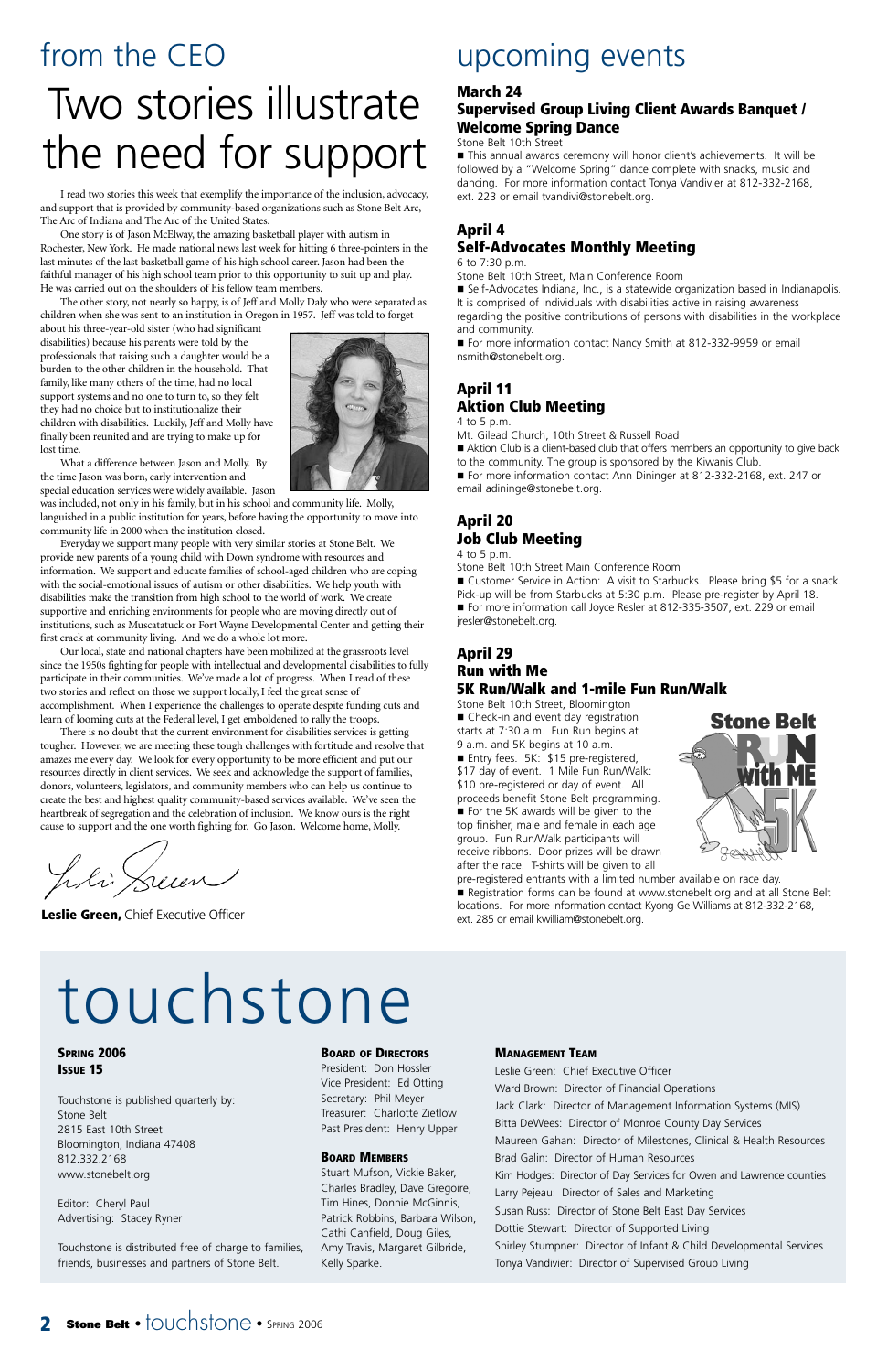**Leslie Green,** Chief Executive Officer

## from the CEO Two stories illustrate the need for support

## upcoming events

### **March 24**

### **Supervised Group Living Client Awards Banquet / Welcome Spring Dance**

### Stone Belt 10th Street

■ This annual awards ceremony will honor client's achievements. It will be followed by a "Welcome Spring" dance complete with snacks, music and dancing. For more information contact Tonya Vandivier at 812-332-2168, ext. 223 or email tvandivi@stonebelt.org.

### **April 4 Self-Advocates Monthly Meeting**

6 to 7:30 p.m.

Stone Belt 10th Street, Main Conference Room

■ For more information contact Ann Dininger at 812-332-2168, ext. 247 or email adininge@stonebelt.org.

 Self-Advocates Indiana, Inc., is a statewide organization based in Indianapolis. It is comprised of individuals with disabilities active in raising awareness regarding the positive contributions of persons with disabilities in the workplace

■ Customer Service in Action: A visit to Starbucks. Please bring \$5 for a snack. Pick-up will be from Starbucks at 5:30 p.m. Please pre-register by April 18. ■ For more information call Joyce Resler at 812-335-3507, ext. 229 or email jresler@stonebelt.org.

and community. ■ For more information contact Nancy Smith at 812-332-9959 or email nsmith@stonebelt.org.

### **April 11 Aktion Club Meeting**

4 to 5 p.m.

Mt. Gilead Church, 10th Street & Russell Road

 Aktion Club is a client-based club that offers members an opportunity to give back to the community. The group is sponsored by the Kiwanis Club.

### **April 20 Job Club Meeting**

4 to 5 p.m.

Stone Belt 10th Street Main Conference Room

### **April 29 Run with Me 5K Run/Walk and 1-mile Fun Run/Walk**

Stone Belt 10th Street, Bloomington ■ Check-in and event day registration starts at 7:30 a.m. Fun Run begins at 9 a.m. and 5K begins at 10 a.m. ■ Entry fees. 5K: \$15 pre-registered, \$17 day of event. 1 Mile Fun Run/Walk: \$10 pre-registered or day of event. All proceeds benefit Stone Belt programming. For the 5K awards will be given to the top finisher, male and female in each age group. Fun Run/Walk participants will receive ribbons. Door prizes will be drawn after the race. T-shirts will be given to all



pre-registered entrants with a limited number available on race day. Registration forms can be found at www.stonebelt.org and at all Stone Belt locations. For more information contact Kyong Ge Williams at 812-332-2168, ext. 285 or email kwilliam@stonebelt.org.



### **MANAGEMENT TEAM**

Leslie Green: Chief Executive Officer Ward Brown: Director of Financial Operations Jack Clark: Director of Management Information Systems (MIS) Bitta DeWees: Director of Monroe County Day Services Maureen Gahan: Director of Milestones, Clinical & Health Resources Brad Galin: Director of Human Resources Kim Hodges: Director of Day Services for Owen and Lawrence counties Larry Pejeau: Director of Sales and Marketing Susan Russ: Director of Stone Belt East Day Services Dottie Stewart: Director of Supported Living Shirley Stumpner: Director of Infant & Child Developmental Services Tonya Vandivier: Director of Supervised Group Living

### **2 Stone Belt** • touchstone • SPRING 2006

**SPRING 2006 ISSUE 15**

Touchstone is published quarterly by: Stone Belt 2815 East 10th Street Bloomington, Indiana 47408 812.332.2168 www.stonebelt.org

Editor: Cheryl Paul Advertising: Stacey Ryner

Touchstone is distributed free of charge to families, friends, businesses and partners of Stone Belt.

### **BOARD OF DIRECTORS**

President: Don Hossler Vice President: Ed Otting Secretary: Phil Meyer Treasurer: Charlotte Zietlow Past President: Henry Upper

### **BOARD MEMBERS**

Stuart Mufson, Vickie Baker, Charles Bradley, Dave Gregoire, Tim Hines, Donnie McGinnis, Patrick Robbins, Barbara Wilson, Cathi Canfield, Doug Giles, Amy Travis, Margaret Gilbride, Kelly Sparke.

## touchstone

I read two stories this week that exemplify the importance of the inclusion, advocacy, and support that is provided by community-based organizations such as Stone Belt Arc, The Arc of Indiana and The Arc of the United States.

One story is of Jason McElway, the amazing basketball player with autism in Rochester, New York. He made national news last week for hitting 6 three-pointers in the last minutes of the last basketball game of his high school career. Jason had been the faithful manager of his high school team prior to this opportunity to suit up and play. He was carried out on the shoulders of his fellow team members.

The other story, not nearly so happy, is of Jeff and Molly Daly who were separated as children when she was sent to an institution in Oregon in 1957. Jeff was told to forget

about his three-year-old sister (who had significant disabilities) because his parents were told by the professionals that raising such a daughter would be a burden to the other children in the household. That family, like many others of the time, had no local support systems and no one to turn to, so they felt they had no choice but to institutionalize their children with disabilities. Luckily, Jeff and Molly have finally been reunited and are trying to make up for lost time.

What a difference between Jason and Molly. By the time Jason was born, early intervention and

special education services were widely available. Jason was included, not only in his family, but in his school and community life. Molly, languished in a public institution for years, before having the opportunity to move into community life in 2000 when the institution closed.

Everyday we support many people with very similar stories at Stone Belt. We provide new parents of a young child with Down syndrome with resources and information. We support and educate families of school-aged children who are coping with the social-emotional issues of autism or other disabilities. We help youth with disabilities make the transition from high school to the world of work. We create supportive and enriching environments for people who are moving directly out of institutions, such as Muscatatuck or Fort Wayne Developmental Center and getting their first crack at community living. And we do a whole lot more.

Our local, state and national chapters have been mobilized at the grassroots level since the 1950s fighting for people with intellectual and developmental disabilities to fully participate in their communities. We've made a lot of progress. When I read of these two stories and reflect on those we support locally, I feel the great sense of accomplishment. When I experience the challenges to operate despite funding cuts and learn of looming cuts at the Federal level, I get emboldened to rally the troops.

There is no doubt that the current environment for disabilities services is getting tougher. However, we are meeting these tough challenges with fortitude and resolve that amazes me every day. We look for every opportunity to be more efficient and put our resources directly in client services. We seek and acknowledge the support of families, donors, volunteers, legislators, and community members who can help us continue to create the best and highest quality community-based services available. We've seen the heartbreak of segregation and the celebration of inclusion. We know ours is the right cause to support and the one worth fighting for. Go Jason. Welcome home, Molly.

li Sum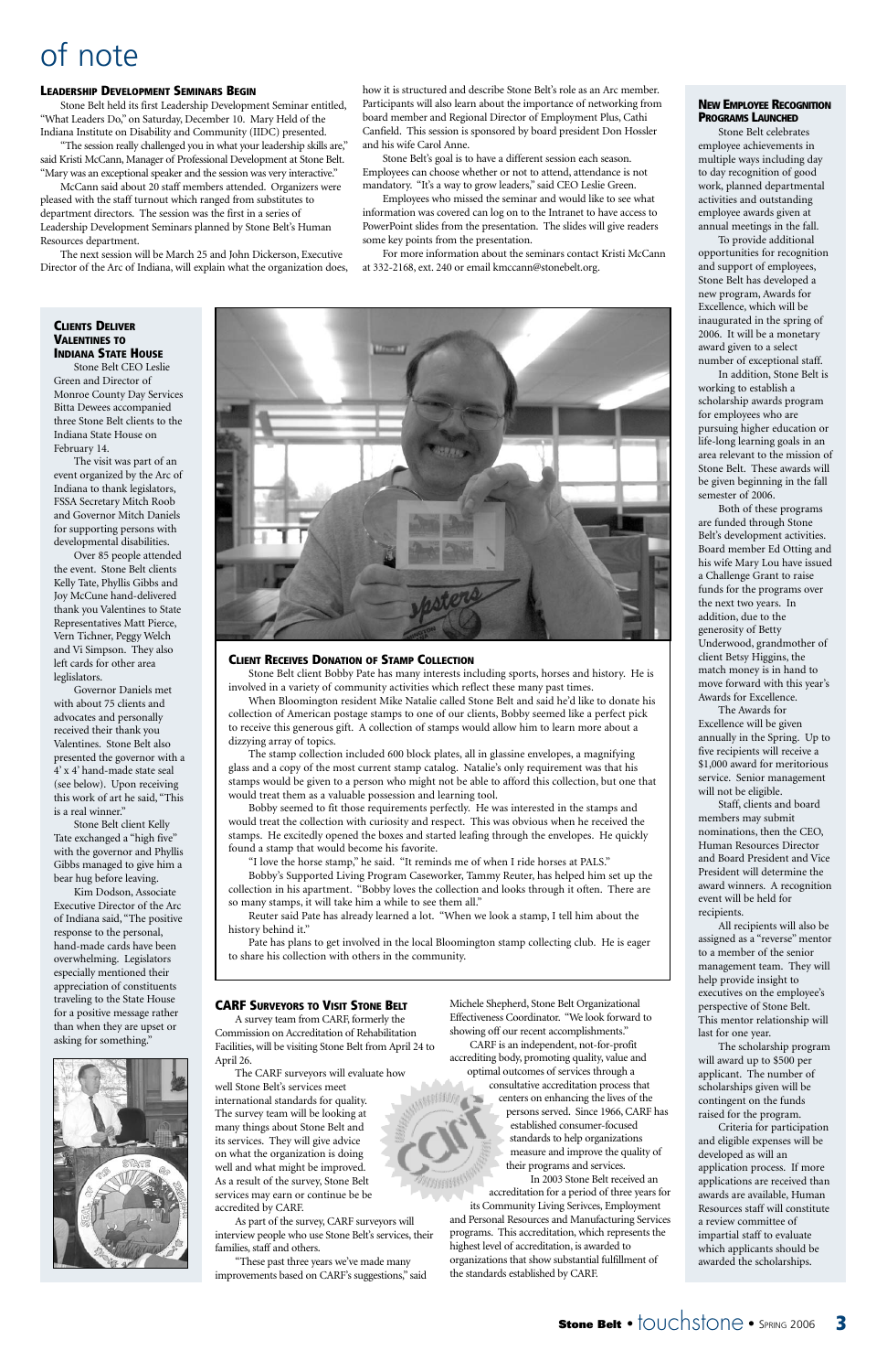## of note

#### **LEADERSHIP DEVELOPMENT SEMINARS BEGIN**

Stone Belt held its first Leadership Development Seminar entitled, "What Leaders Do," on Saturday, December 10. Mary Held of the Indiana Institute on Disability and Community (IIDC) presented.

"The session really challenged you in what your leadership skills are," said Kristi McCann, Manager of Professional Development at Stone Belt. "Mary was an exceptional speaker and the session was very interactive."

McCann said about 20 staff members attended. Organizers were pleased with the staff turnout which ranged from substitutes to department directors. The session was the first in a series of Leadership Development Seminars planned by Stone Belt's Human Resources department.

The next session will be March 25 and John Dickerson, Executive Director of the Arc of Indiana, will explain what the organization does, how it is structured and describe Stone Belt's role as an Arc member. Participants will also learn about the importance of networking from board member and Regional Director of Employment Plus, Cathi Canfield. This session is sponsored by board president Don Hossler and his wife Carol Anne.

Stone Belt's goal is to have a different session each season. Employees can choose whether or not to attend, attendance is not mandatory. "It's a way to grow leaders," said CEO Leslie Green.

Employees who missed the seminar and would like to see what information was covered can log on to the Intranet to have access to PowerPoint slides from the presentation. The slides will give readers some key points from the presentation.

For more information about the seminars contact Kristi McCann at 332-2168, ext. 240 or email kmccann@stonebelt.org.

### **CLIENTS DELIVER VALENTINES TO INDIANA STATE HOUSE**

Stone Belt CEO Leslie Green and Director of Monroe County Day Services Bitta Dewees accompanied three Stone Belt clients to the Indiana State House on February 14.

The visit was part of an event organized by the Arc of Indiana to thank legislators, FSSA Secretary Mitch Roob and Governor Mitch Daniels for supporting persons with developmental disabilities.

Over 85 people attended the event. Stone Belt clients Kelly Tate, Phyllis Gibbs and Joy McCune hand-delivered thank you Valentines to State Representatives Matt Pierce, Vern Tichner, Peggy Welch and Vi Simpson. They also left cards for other area leglislators.

Governor Daniels met with about 75 clients and advocates and personally received their thank you Valentines. Stone Belt also presented the governor with a 4' x 4' hand-made state seal (see below). Upon receiving this work of art he said, "This is a real winner."

Stone Belt client Kelly Tate exchanged a "high five" with the governor and Phyllis Gibbs managed to give him a bear hug before leaving.

Kim Dodson, Associate Executive Director of the Arc of Indiana said, "The positive response to the personal, hand-made cards have been overwhelming. Legislators especially mentioned their appreciation of constituents traveling to the State House



for a positive message rather than when they are upset or asking for something."



#### **NEW EMPLOYEE RECOGNITION PROGRAMS LAUNCHED**

Stone Belt celebrates employee achievements in multiple ways including day to day recognition of good work, planned departmental activities and outstanding employee awards given at annual meetings in the fall.

To provide additional opportunities for recognition and support of employees, Stone Belt has developed a new program, Awards for Excellence, which will be inaugurated in the spring of 2006. It will be a monetary award given to a select number of exceptional staff.

In addition, Stone Belt is working to establish a scholarship awards program for employees who are pursuing higher education or life-long learning goals in an area relevant to the mission of Stone Belt. These awards will be given beginning in the fall semester of 2006.

Both of these programs are funded through Stone Belt's development activities. Board member Ed Otting and his wife Mary Lou have issued a Challenge Grant to raise funds for the programs over the next two years. In addition, due to the generosity of Betty Underwood, grandmother of client Betsy Higgins, the match money is in hand to move forward with this year's Awards for Excellence.

The Awards for Excellence will be given annually in the Spring. Up to five recipients will receive a \$1,000 award for meritorious service. Senior management will not be eligible.

Staff, clients and board members may submit nominations, then the CEO, Human Resources Director and Board President and Vice President will determine the award winners. A recognition event will be held for recipients.

All recipients will also be assigned as a "reverse" mentor to a member of the senior management team. They will help provide insight to executives on the employee's perspective of Stone Belt. This mentor relationship will last for one year. The scholarship program will award up to \$500 per applicant. The number of scholarships given will be contingent on the funds raised for the program. Criteria for participation and eligible expenses will be developed as will an application process. If more applications are received than awards are available, Human Resources staff will constitute a review committee of impartial staff to evaluate which applicants should be awarded the scholarships.

#### **CLIENT RECEIVES DONATION OF STAMP COLLECTION**

Stone Belt client Bobby Pate has many interests including sports, horses and history. He is involved in a variety of community activities which reflect these many past times.

When Bloomington resident Mike Natalie called Stone Belt and said he'd like to donate his collection of American postage stamps to one of our clients, Bobby seemed like a perfect pick to receive this generous gift. A collection of stamps would allow him to learn more about a dizzying array of topics.

The stamp collection included 600 block plates, all in glassine envelopes, a magnifying glass and a copy of the most current stamp catalog. Natalie's only requirement was that his stamps would be given to a person who might not be able to afford this collection, but one that would treat them as a valuable possession and learning tool.

Bobby seemed to fit those requirements perfectly. He was interested in the stamps and would treat the collection with curiosity and respect. This was obvious when he received the stamps. He excitedly opened the boxes and started leafing through the envelopes. He quickly found a stamp that would become his favorite.

"I love the horse stamp," he said. "It reminds me of when I ride horses at PALS."

Bobby's Supported Living Program Caseworker, Tammy Reuter, has helped him set up the collection in his apartment. "Bobby loves the collection and looks through it often. There are so many stamps, it will take him a while to see them all."

Reuter said Pate has already learned a lot. "When we look a stamp, I tell him about the history behind it."

Pate has plans to get involved in the local Bloomington stamp collecting club. He is eager to share his collection with others in the community.

#### **CARF SURVEYORS TO VISIT STONE BELT**

A survey team from CARF, formerly the Commission on Accreditation of Rehabilitation Facilities, will be visiting Stone Belt from April 24 to April 26.

The CARF surveyors will evaluate how well Stone Belt's services meet international standards for quality. The survey team will be looking at many things about Stone Belt and its services. They will give advice on what the organization is doing well and what might be improved. As a result of the survey, Stone Belt services may earn or continue be be accredited by CARF.

As part of the survey, CARF surveyors will interview people who use Stone Belt's services, their families, staff and others.

"These past three years we've made many improvements based on CARF's suggestions," said Michele Shepherd, Stone Belt Organizational

Effectiveness Coordinator. "We look forward to showing off our recent accomplishments."

CARF is an independent, not-for-profit accrediting body, promoting quality, value and optimal outcomes of services through a consultative accreditation process that centers on enhancing the lives of the persons served. Since 1966, CARF has established consumer-focused standards to help organizations measure and improve the quality of their programs and services.

In 2003 Stone Belt received an accreditation for a period of three years for its Community Living Serivces, Employment and Personal Resources and Manufacturing Services programs. This accreditation, which represents the highest level of accreditation, is awarded to organizations that show substantial fulfillment of the standards established by CARF.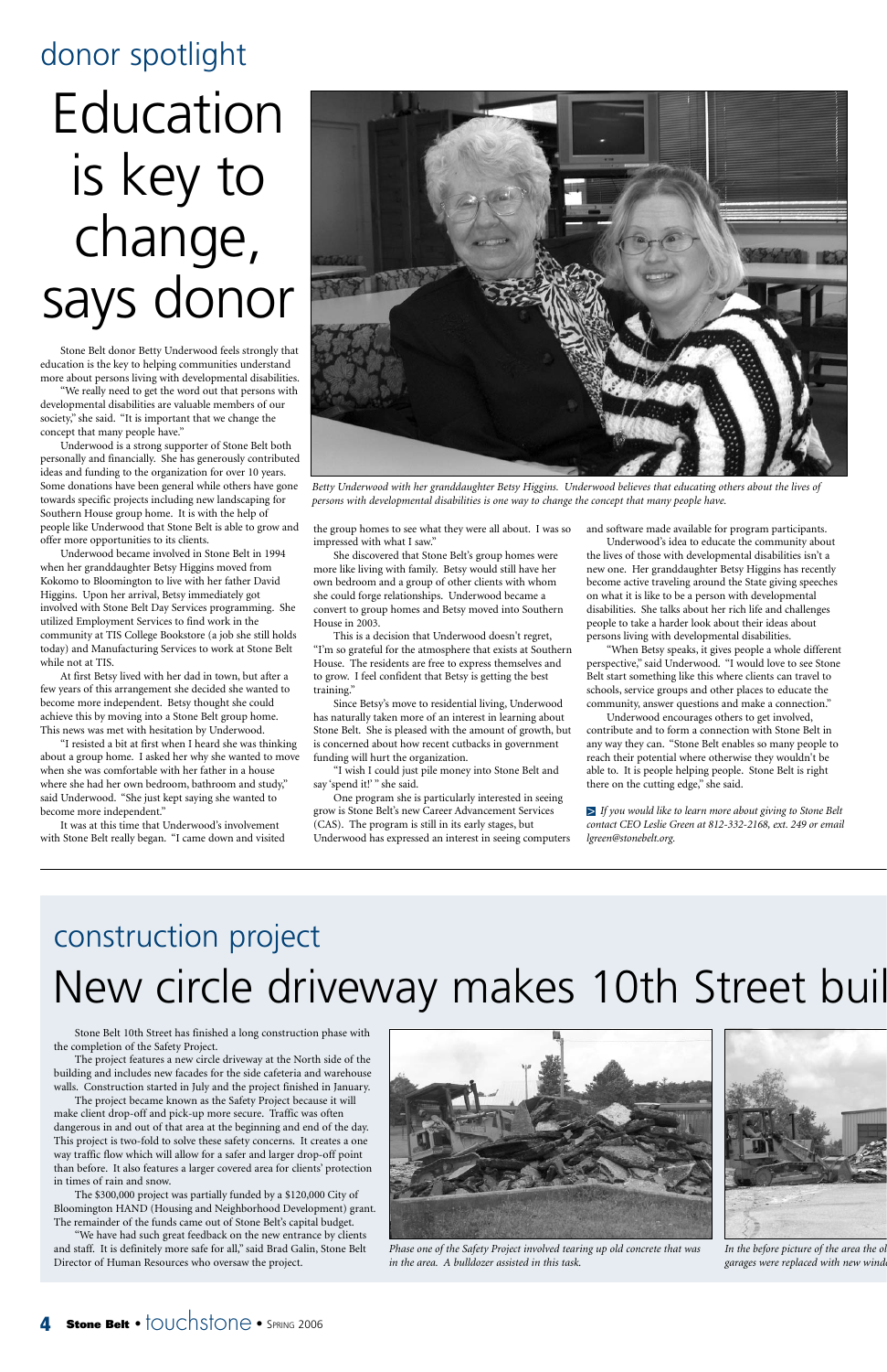## New circle driveway makes 10th Street buil construction project

Stone Belt 10th Street has finished a long construction phase with the completion of the Safety Project.

The project features a new circle driveway at the North side of the building and includes new facades for the side cafeteria and warehouse walls. Construction started in July and the project finished in January.

The project became known as the Safety Project because it will make client drop-off and pick-up more secure. Traffic was often dangerous in and out of that area at the beginning and end of the day. This project is two-fold to solve these safety concerns. It creates a one way traffic flow which will allow for a safer and larger drop-off point than before. It also features a larger covered area for clients' protection in times of rain and snow.

The \$300,000 project was partially funded by a \$120,000 City of Bloomington HAND (Housing and Neighborhood Development) grant. The remainder of the funds came out of Stone Belt's capital budget.

"We have had such great feedback on the new entrance by clients and staff. It is definitely more safe for all," said Brad Galin, Stone Belt Director of Human Resources who oversaw the project.

## donor spotlight

Stone Belt donor Betty Underwood feels strongly that education is the key to helping communities understand more about persons living with developmental disabilities.

"We really need to get the word out that persons with developmental disabilities are valuable members of our society," she said. "It is important that we change the concept that many people have."

Underwood is a strong supporter of Stone Belt both personally and financially. She has generously contributed ideas and funding to the organization for over 10 years. Some donations have been general while others have gone towards specific projects including new landscaping for Southern House group home. It is with the help of people like Underwood that Stone Belt is able to grow and offer more opportunities to its clients.

> "I wish I could just pile money into Stone Belt and say 'spend it!' " she said.

Underwood became involved in Stone Belt in 1994 when her granddaughter Betsy Higgins moved from Kokomo to Bloomington to live with her father David Higgins. Upon her arrival, Betsy immediately got involved with Stone Belt Day Services programming. She utilized Employment Services to find work in the community at TIS College Bookstore (a job she still holds today) and Manufacturing Services to work at Stone Belt while not at TIS.

At first Betsy lived with her dad in town, but after a few years of this arrangement she decided she wanted to become more independent. Betsy thought she could achieve this by moving into a Stone Belt group home. This news was met with hesitation by Underwood.

"I resisted a bit at first when I heard she was thinking about a group home. I asked her why she wanted to move when she was comfortable with her father in a house where she had her own bedroom, bathroom and study," said Underwood. "She just kept saying she wanted to become more independent."



*In the before picture of the area the ol garages were replaced with new wind* 

### **Stone Belt** • touchstone • SPRING 2006

It was at this time that Underwood's involvement with Stone Belt really began. "I came down and visited the group homes to see what they were all about. I was so impressed with what I saw."

She discovered that Stone Belt's group homes were more like living with family. Betsy would still have her own bedroom and a group of other clients with whom she could forge relationships. Underwood became a convert to group homes and Betsy moved into Southern House in 2003.

This is a decision that Underwood doesn't regret, "I'm so grateful for the atmosphere that exists at Southern House. The residents are free to express themselves and to grow. I feel confident that Betsy is getting the best training."

Since Betsy's move to residential living, Underwood has naturally taken more of an interest in learning about Stone Belt. She is pleased with the amount of growth, but is concerned about how recent cutbacks in government funding will hurt the organization.

One program she is particularly interested in seeing grow is Stone Belt's new Career Advancement Services (CAS). The program is still in its early stages, but Underwood has expressed an interest in seeing computers and software made available for program participants.

Underwood's idea to educate the community about the lives of those with developmental disabilities isn't a new one. Her granddaughter Betsy Higgins has recently become active traveling around the State giving speeches on what it is like to be a person with developmental disabilities. She talks about her rich life and challenges people to take a harder look about their ideas about persons living with developmental disabilities.

"When Betsy speaks, it gives people a whole different perspective," said Underwood. "I would love to see Stone Belt start something like this where clients can travel to schools, service groups and other places to educate the community, answer questions and make a connection."

Underwood encourages others to get involved, contribute and to form a connection with Stone Belt in any way they can. "Stone Belt enables so many people to reach their potential where otherwise they wouldn't be able to. It is people helping people. Stone Belt is right there on the cutting edge," she said.

*If you would like to learn more about giving to Stone Belt* >*contact CEO Leslie Green at 812-332-2168, ext. 249 or email lgreen@stonebelt.org.*

## Education is key to change, says donor



*Betty Underwood with her granddaughter Betsy Higgins. Underwood believes that educating others about the lives of persons with developmental disabilities is one way to change the concept that many people have.*

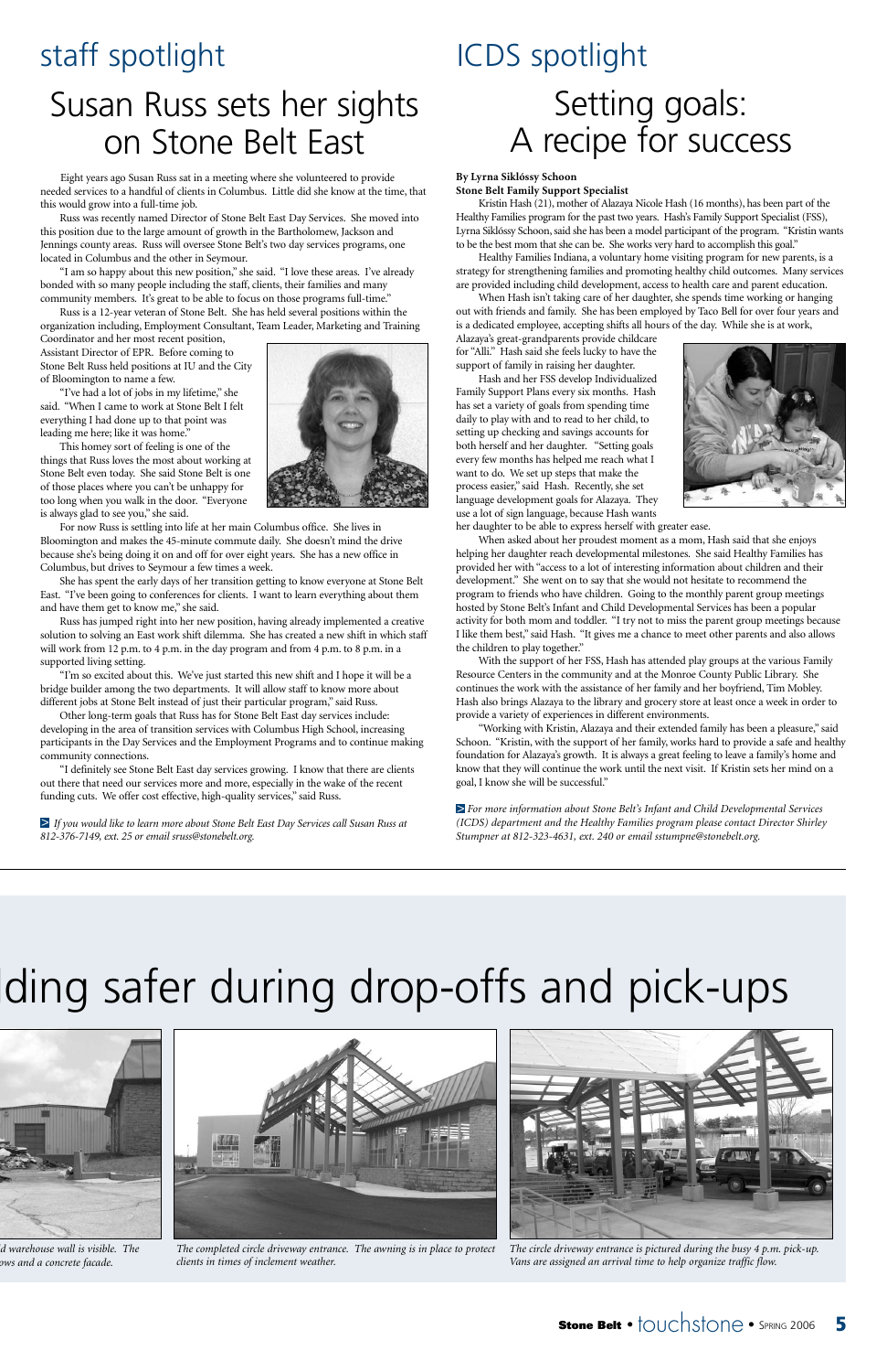

## lding safer during drop-offs and pick-ups



## staff spotlight

Eight years ago Susan Russ sat in a meeting where she volunteered to provide needed services to a handful of clients in Columbus. Little did she know at the time, that this would grow into a full-time job.

"I am so happy about this new position," she said. "I love these areas. I've already bonded with so many people including the staff, clients, their families and many community members. It's great to be able to focus on those programs full-time."

Russ was recently named Director of Stone Belt East Day Services. She moved into this position due to the large amount of growth in the Bartholomew, Jackson and Jennings county areas. Russ will oversee Stone Belt's two day services programs, one located in Columbus and the other in Seymour.

Russ is a 12-year veteran of Stone Belt. She has held several positions within the organization including, Employment Consultant, Team Leader, Marketing and Training

Coordinator and her most recent position, Assistant Director of EPR. Before coming to Stone Belt Russ held positions at IU and the City of Bloomington to name a few.

"I've had a lot of jobs in my lifetime," she said. "When I came to work at Stone Belt I felt everything I had done up to that point was leading me here; like it was home."

This homey sort of feeling is one of the things that Russ loves the most about working at Stone Belt even today. She said Stone Belt is one of those places where you can't be unhappy for too long when you walk in the door. "Everyone is always glad to see you," she said.

 $\ge$  If you would like to learn more about Stone Belt East Day Services call Susan Russ at *812-376-7149, ext. 25 or email sruss@stonebelt.org.*

For now Russ is settling into life at her main Columbus office. She lives in Bloomington and makes the 45-minute commute daily. She doesn't mind the drive because she's being doing it on and off for over eight years. She has a new office in Columbus, but drives to Seymour a few times a week.

She has spent the early days of her transition getting to know everyone at Stone Belt East. "I've been going to conferences for clients. I want to learn everything about them and have them get to know me," she said.

Russ has jumped right into her new position, having already implemented a creative solution to solving an East work shift dilemma. She has created a new shift in which staff will work from 12 p.m. to 4 p.m. in the day program and from 4 p.m. to 8 p.m. in a supported living setting.

"I'm so excited about this. We've just started this new shift and I hope it will be a bridge builder among the two departments. It will allow staff to know more about different jobs at Stone Belt instead of just their particular program," said Russ.

Other long-term goals that Russ has for Stone Belt East day services include: developing in the area of transition services with Columbus High School, increasing participants in the Day Services and the Employment Programs and to continue making community connections.

"I definitely see Stone Belt East day services growing. I know that there are clients out there that need our services more and more, especially in the wake of the recent funding cuts. We offer cost effective, high-quality services," said Russ.

## Susan Russ sets her sights on Stone Belt East

## ICDS spotlight Setting goals: A recipe for success

**By Lyrna Siklóssy Schoon**

**Stone Belt Family Support Specialist**

Kristin Hash (21), mother of Alazaya Nicole Hash (16 months), has been part of the Healthy Families program for the past two years. Hash's Family Support Specialist (FSS), Lyrna Siklóssy Schoon, said she has been a model participant of the program. "Kristin wants to be the best mom that she can be. She works very hard to accomplish this goal."

Healthy Families Indiana, a voluntary home visiting program for new parents, is a strategy for strengthening families and promoting healthy child outcomes. Many services are provided including child development, access to health care and parent education.

When Hash isn't taking care of her daughter, she spends time working or hanging out with friends and family. She has been employed by Taco Bell for over four years and is a dedicated employee, accepting shifts all hours of the day. While she is at work,

Alazaya's great-grandparents provide childcare for "Alli." Hash said she feels lucky to have the support of family in raising her daughter.

Hash and her FSS develop Individualized Family Support Plans every six months. Hash has set a variety of goals from spending time daily to play with and to read to her child, to setting up checking and savings accounts for both herself and her daughter. "Setting goals every few months has helped me reach what I want to do. We set up steps that make the process easier," said Hash. Recently, she set language development goals for Alazaya. They use a lot of sign language, because Hash wants her daughter to be able to express herself with greater ease.



When asked about her proudest moment as a mom, Hash said that she enjoys

helping her daughter reach developmental milestones. She said Healthy Families has provided her with "access to a lot of interesting information about children and their development." She went on to say that she would not hesitate to recommend the program to friends who have children. Going to the monthly parent group meetings hosted by Stone Belt's Infant and Child Developmental Services has been a popular activity for both mom and toddler. "I try not to miss the parent group meetings because I like them best," said Hash. "It gives me a chance to meet other parents and also allows the children to play together."

With the support of her FSS, Hash has attended play groups at the various Family Resource Centers in the community and at the Monroe County Public Library. She continues the work with the assistance of her family and her boyfriend, Tim Mobley. Hash also brings Alazaya to the library and grocery store at least once a week in order to provide a variety of experiences in different environments.

"Working with Kristin, Alazaya and their extended family has been a pleasure," said Schoon. "Kristin, with the support of her family, works hard to provide a safe and healthy foundation for Alazaya's growth. It is always a great feeling to leave a family's home and know that they will continue the work until the next visit. If Kristin sets her mind on a goal, I know she will be successful."

*For more information about Stone Belt's Infant and Child Developmental Services* >*(ICDS) department and the Healthy Families program please contact Director Shirley Stumpner at 812-323-4631, ext. 240 or email sstumpne@stonebelt.org.*



*ld warehouse wall is visible. The ows and a concrete facade.*



*The completed circle driveway entrance. The awning is in place to protect clients in times of inclement weather.*



*The circle driveway entrance is pictured during the busy 4 p.m. pick-up. Vans are assigned an arrival time to help organize traffic flow.*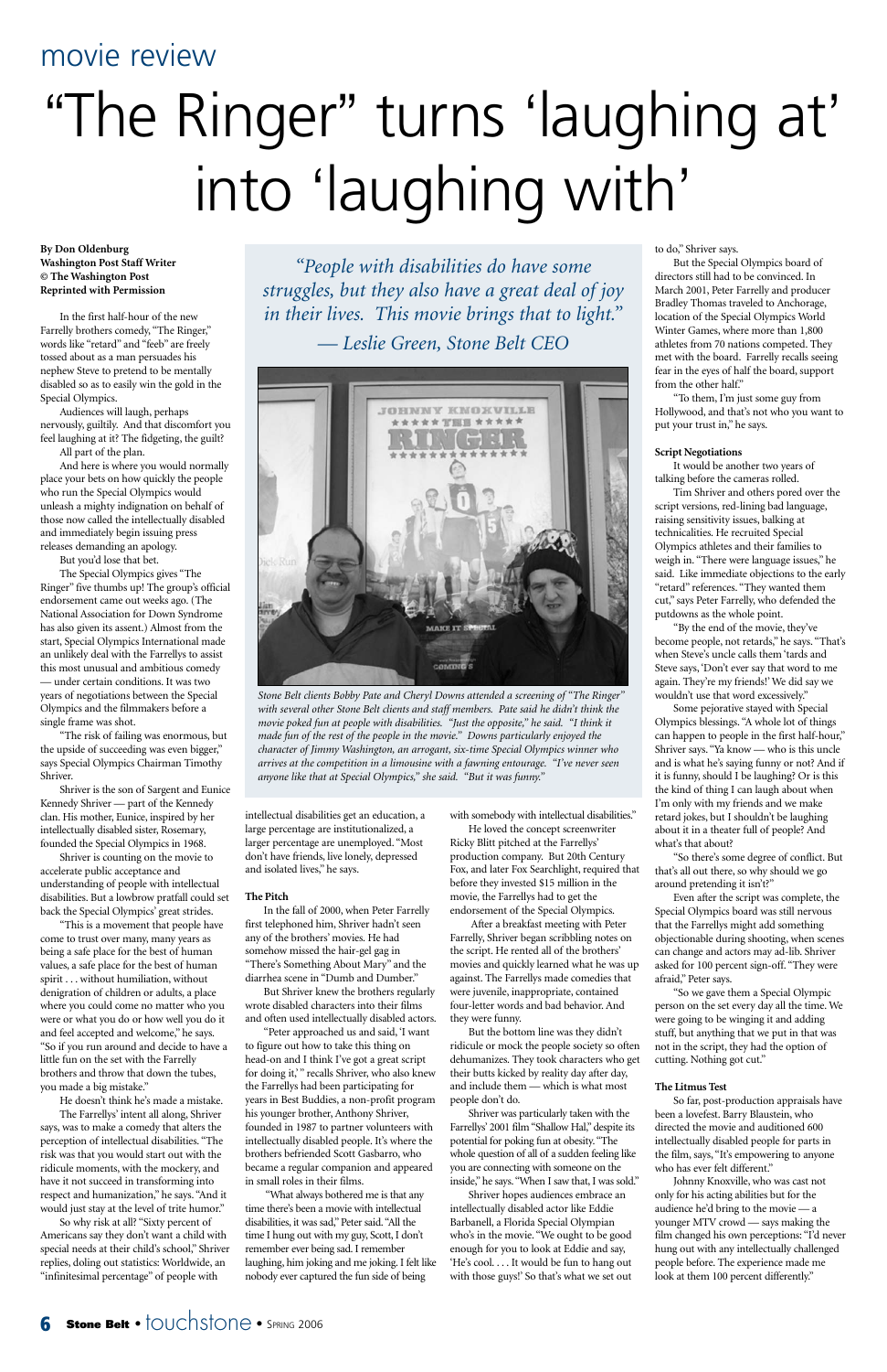**By Don Oldenburg Washington Post Staff Writer © The Washington Post Reprinted with Permission**

In the first half-hour of the new Farrelly brothers comedy, "The Ringer," words like "retard" and "feeb" are freely tossed about as a man persuades his nephew Steve to pretend to be mentally disabled so as to easily win the gold in the Special Olympics.

Audiences will laugh, perhaps nervously, guiltily. And that discomfort you feel laughing at it? The fidgeting, the guilt? All part of the plan.

And here is where you would normally place your bets on how quickly the people who run the Special Olympics would unleash a mighty indignation on behalf of those now called the intellectually disabled and immediately begin issuing press releases demanding an apology.

But you'd lose that bet.

The Special Olympics gives "The Ringer" five thumbs up! The group's official endorsement came out weeks ago. (The National Association for Down Syndrome has also given its assent.) Almost from the start, Special Olympics International made an unlikely deal with the Farrellys to assist this most unusual and ambitious comedy — under certain conditions. It was two years of negotiations between the Special Olympics and the filmmakers before a single frame was shot.

"The risk of failing was enormous, but the upside of succeeding was even bigger," says Special Olympics Chairman Timothy Shriver.

Shriver is the son of Sargent and Eunice Kennedy Shriver — part of the Kennedy clan. His mother, Eunice, inspired by her intellectually disabled sister, Rosemary, founded the Special Olympics in 1968.

> In the fall of 2000, when Peter Farrelly first telephoned him, Shriver hadn't seen any of the brothers' movies. He had somehow missed the hair-gel gag in "There's Something About Mary" and the diarrhea scene in "Dumb and Dumber."

Shriver is counting on the movie to accelerate public acceptance and understanding of people with intellectual disabilities. But a lowbrow pratfall could set back the Special Olympics' great strides.

"This is a movement that people have come to trust over many, many years as being a safe place for the best of human values, a safe place for the best of human spirit ...without humiliation, without denigration of children or adults, a place where you could come no matter who you were or what you do or how well you do it and feel accepted and welcome," he says. "So if you run around and decide to have a little fun on the set with the Farrelly brothers and throw that down the tubes, you made a big mistake."

He doesn't think he's made a mistake. The Farrellys' intent all along, Shriver says, was to make a comedy that alters the perception of intellectual disabilities. "The risk was that you would start out with the ridicule moments, with the mockery, and have it not succeed in transforming into respect and humanization," he says. "And it would just stay at the level of trite humor."

So why risk at all? "Sixty percent of Americans say they don't want a child with special needs at their child's school," Shriver replies, doling out statistics: Worldwide, an "infinitesimal percentage" of people with

intellectual disabilities get an education, a large percentage are institutionalized, a larger percentage are unemployed. "Most don't have friends, live lonely, depressed and isolated lives," he says.

#### **The Pitch**

But Shriver knew the brothers regularly ote disabled characters into their films and often used intellectually disabled actors.

"Peter approached us and said, 'I want to figure out how to take this thing on head-on and I think I've got a great script for doing it," recalls Shriver, who also knew the Farrellys had been participating for years in Best Buddies, a non-profit program his younger brother, Anthony Shriver, founded in 1987 to partner volunteers with intellectually disabled people. It's where the brothers befriended Scott Gasbarro, who became a regular companion and appeared in small roles in their films.

"What always bothered me is that any time there's been a movie with intellectual disabilities, it was sad," Peter said."All the time I hung out with my guy, Scott, I don't remember ever being sad. I remember laughing, him joking and me joking. I felt like nobody ever captured the fun side of being

with somebody with intellectual disabilities."

He loved the concept screenwriter Ricky Blitt pitched at the Farrellys' production company. But 20th Century Fox, and later Fox Searchlight, required that before they invested \$15 million in the movie, the Farrellys had to get the endorsement of the Special Olympics.

After a breakfast meeting with Peter Farrelly, Shriver began scribbling notes on the script. He rented all of the brothers' movies and quickly learned what he was up against. The Farrellys made comedies that were juvenile, inappropriate, contained four-letter words and bad behavior. And

they were funny.

But the bottom line was they didn't ridicule or mock the people society so often dehumanizes. They took characters who get their butts kicked by reality day after day, and include them — which is what most people don't do.

Shriver was particularly taken with the Farrellys' 2001 film "Shallow Hal," despite its potential for poking fun at obesity."The whole question of all of a sudden feeling like you are connecting with someone on the inside," he says."When I saw that, I was sold."

Shriver hopes audiences embrace an intellectually disabled actor like Eddie Barbanell, a Florida Special Olympian who's in the movie. "We ought to be good enough for you to look at Eddie and say, 'He's cool. . . . It would be fun to hang out with those guys!' So that's what we set out to do," Shriver says.

But the Special Olympics board of directors still had to be convinced. In March 2001, Peter Farrelly and producer Bradley Thomas traveled to Anchorage, location of the Special Olympics World Winter Games, where more than 1,800 athletes from 70 nations competed. They met with the board. Farrelly recalls seeing fear in the eyes of half the board, support from the other half."

"To them, I'm just some guy from Hollywood, and that's not who you want to put your trust in," he says.

#### **Script Negotiations**

It would be another two years of talking before the cameras rolled.

Tim Shriver and others pored over the script versions, red-lining bad language, raising sensitivity issues, balking at technicalities. He recruited Special Olympics athletes and their families to weigh in. "There were language issues," he said. Like immediate objections to the early "retard" references. "They wanted them cut," says Peter Farrelly, who defended the putdowns as the whole point.

"By the end of the movie, they've become people, not retards," he says. "That's when Steve's uncle calls them 'tards and Steve says, 'Don't ever say that word to me again. They're my friends!' We did say we wouldn't use that word excessively."

Some pejorative stayed with Special Olympics blessings. "A whole lot of things can happen to people in the first half-hour," Shriver says. "Ya know — who is this uncle and is what he's saying funny or not? And if it is funny, should I be laughing? Or is this the kind of thing I can laugh about when I'm only with my friends and we make retard jokes, but I shouldn't be laughing about it in a theater full of people? And what's that about?

"So there's some degree of conflict. But that's all out there, so why should we go around pretending it isn't?"

Even after the script was complete, the Special Olympics board was still nervous that the Farrellys might add something objectionable during shooting, when scenes can change and actors may ad-lib. Shriver asked for 100 percent sign-off. "They were afraid," Peter says.

"So we gave them a Special Olympic on on the set every day all the time. We were going to be winging it and adding stuff, but anything that we put in that was not in the script, they had the option of cutting. Nothing got cut."

#### **The Litmus Test**

So far, post-production appraisals have been a lovefest. Barry Blaustein, who directed the movie and auditioned 600 intellectually disabled people for parts in the film, says, "It's empowering to anyone who has ever felt different."

Johnny Knoxville, who was cast not only for his acting abilities but for the audience he'd bring to the movie — a younger MTV crowd — says making the film changed his own perceptions: "I'd never hung out with any intellectually challenged people before. The experience made me look at them 100 percent differently."

### **6 Stone Belt** •  $\overline{1}$ OUC**hStone** • SPRING 2006

### movie review

# "The Ringer" turns 'laughing at' into 'laughing with'



*Stone Belt clients Bobby Pate and Cheryl Downs attended a screening of "The Ringer" with several other Stone Belt clients and staff members. Pate said he didn't think the movie poked fun at people with disabilities. "Just the opposite," he said. "I think it made fun of the rest of the people in the movie." Downs particularly enjoyed the character of Jimmy Washington, an arrogant, six-time Special Olympics winner who arrives at the competition in a limousine with a fawning entourage. "I've never seen anyone like that at Special Olympics," she said. "But it was funny."*

*"People with disabilities do have some struggles, but they also have a great deal of joy in their lives. This movie brings that to light." — Leslie Green, Stone Belt CEO*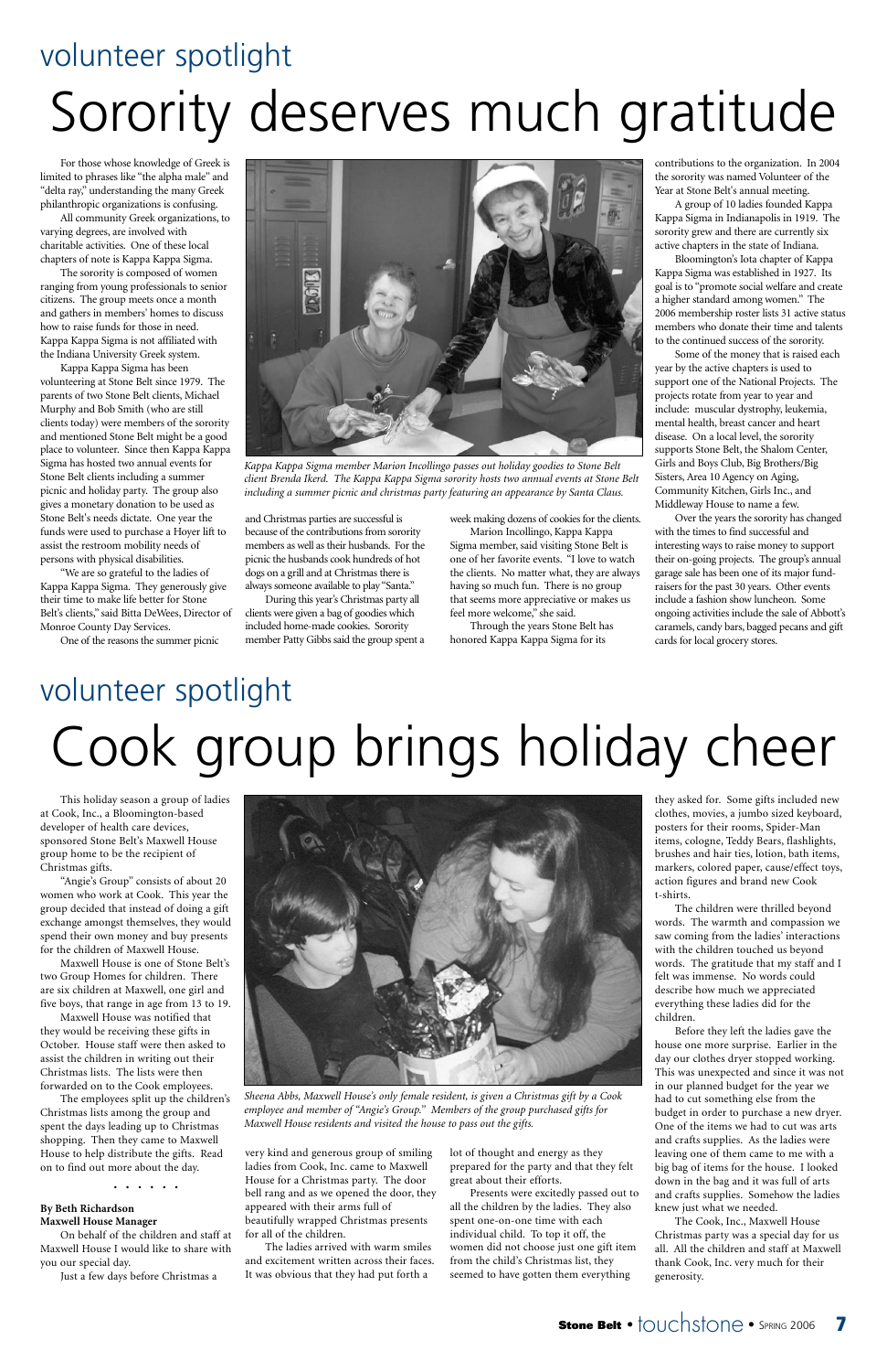

For those whose knowledge of Greek is limited to phrases like "the alpha male" and "delta ray," understanding the many Greek philanthropic organizations is confusing.

All community Greek organizations, to varying degrees, are involved with charitable activities. One of these local chapters of note is Kappa Kappa Sigma.

The sorority is composed of women ranging from young professionals to senior citizens. The group meets once a month and gathers in members' homes to discuss how to raise funds for those in need. Kappa Kappa Sigma is not affiliated with the Indiana University Greek system.

Kappa Kappa Sigma has been volunteering at Stone Belt since 1979. The parents of two Stone Belt clients, Michael Murphy and Bob Smith (who are still clients today) were members of the sorority and mentioned Stone Belt might be a good place to volunteer. Since then Kappa Kappa Sigma has hosted two annual events for Stone Belt clients including a summer picnic and holiday party. The group also gives a monetary donation to be used as Stone Belt's needs dictate. One year the funds were used to purchase a Hoyer lift to assist the restroom mobility needs of persons with physical disabilities.

"We are so grateful to the ladies of Kappa Kappa Sigma. They generously give their time to make life better for Stone Belt's clients," said Bitta DeWees, Director of Monroe County Day Services.

One of the reasons the summer picnic

and Christmas parties are successful is because of the contributions from sorority members as well as their husbands. For the picnic the husbands cook hundreds of hot dogs on a grill and at Christmas there is always someone available to play "Santa."

During this year's Christmas party all clients were given a bag of goodies which included home-made cookies. Sorority member Patty Gibbs said the group spent a week making dozens of cookies for the clients.

Marion Incollingo, Kappa Kappa Sigma member, said visiting Stone Belt is one of her favorite events. "I love to watch the clients. No matter what, they are always having so much fun. There is no group that seems more appreciative or makes us feel more welcome," she said.

Through the years Stone Belt has honored Kappa Kappa Sigma for its

contributions to the organization. In 2004 the sorority was named Volunteer of the Year at Stone Belt's annual meeting.

A group of 10 ladies founded Kappa Kappa Sigma in Indianapolis in 1919. The sorority grew and there are currently six active chapters in the state of Indiana.

Bloomington's Iota chapter of Kappa Kappa Sigma was established in 1927. Its goal is to "promote social welfare and create a higher standard among women." The 2006 membership roster lists 31 active status members who donate their time and talents to the continued success of the sorority.

Some of the money that is raised each year by the active chapters is used to support one of the National Projects. The projects rotate from year to year and include: muscular dystrophy, leukemia, mental health, breast cancer and heart disease. On a local level, the sorority supports Stone Belt, the Shalom Center, Girls and Boys Club, Big Brothers/Big Sisters, Area 10 Agency on Aging, Community Kitchen, Girls Inc., and Middleway House to name a few.

Over the years the sorority has changed with the times to find successful and interesting ways to raise money to support their on-going projects. The group's annual garage sale has been one of its major fundraisers for the past 30 years. Other events include a fashion show luncheon. Some ongoing activities include the sale of Abbott's caramels, candy bars, bagged pecans and gift cards for local grocery stores.

## volunteer spotlight Sorority deserves much gratitude

## volunteer spotlight Cook group brings holiday cheer

This holiday season a group of ladies at Cook, Inc., a Bloomington-based developer of health care devices, sponsored Stone Belt's Maxwell House group home to be the recipient of Christmas gifts.

"Angie's Group" consists of about 20 women who work at Cook. This year the group decided that instead of doing a gift exchange amongst themselves, they would spend their own money and buy presents for the children of Maxwell House.

Maxwell House is one of Stone Belt's two Group Homes for children. There are six children at Maxwell, one girl and five boys, that range in age from 13 to 19. Maxwell House was notified that they would be receiving these gifts in October. House staff were then asked to assist the children in writing out their Christmas lists. The lists were then forwarded on to the Cook employees. The employees split up the children's Christmas lists among the group and spent the days leading up to Christmas shopping. Then they came to Maxwell House to help distribute the gifts. Read on to find out more about the day.



• • • • • •

#### **By Beth Richardson Maxwell House Manager**

On behalf of the children and staff at Maxwell House I would like to share with you our special day.

Just a few days before Christmas a

very kind and generous group of smiling ladies from Cook, Inc. came to Maxwell House for a Christmas party. The door bell rang and as we opened the door, they appeared with their arms full of beautifully wrapped Christmas presents for all of the children.

The ladies arrived with warm smiles and excitement written across their faces. It was obvious that they had put forth a

lot of thought and energy as they prepared for the party and that they felt great about their efforts.

Presents were excitedly passed out to all the children by the ladies. They also spent one-on-one time with each individual child. To top it off, the women did not choose just one gift item from the child's Christmas list, they seemed to have gotten them everything

they asked for. Some gifts included new clothes, movies, a jumbo sized keyboard, posters for their rooms, Spider-Man items, cologne, Teddy Bears, flashlights, brushes and hair ties, lotion, bath items, markers, colored paper, cause/effect toys, action figures and brand new Cook t-shirts.

The children were thrilled beyond words. The warmth and compassion we saw coming from the ladies' interactions with the children touched us beyond words. The gratitude that my staff and I felt was immense. No words could describe how much we appreciated everything these ladies did for the

#### children.

Before they left the ladies gave the house one more surprise. Earlier in the day our clothes dryer stopped working. This was unexpected and since it was not in our planned budget for the year we had to cut something else from the budget in order to purchase a new dryer. One of the items we had to cut was arts and crafts supplies. As the ladies were leaving one of them came to me with a big bag of items for the house. I looked down in the bag and it was full of arts and crafts supplies. Somehow the ladies knew just what we needed.

The Cook, Inc., Maxwell House Christmas party was a special day for us all. All the children and staff at Maxwell thank Cook, Inc. very much for their generosity.

*Sheena Abbs, Maxwell House's only female resident, is given a Christmas gift by a Cook employee and member of "Angie's Group." Members of the group purchased gifts for Maxwell House residents and visited the house to pass out the gifts.*



*Kappa Kappa Sigma member Marion Incollingo passes out holiday goodies to Stone Belt client Brenda Ikerd. The Kappa Kappa Sigma sorority hosts two annual events at Stone Belt including a summer picnic and christmas party featuring an appearance by Santa Claus.*